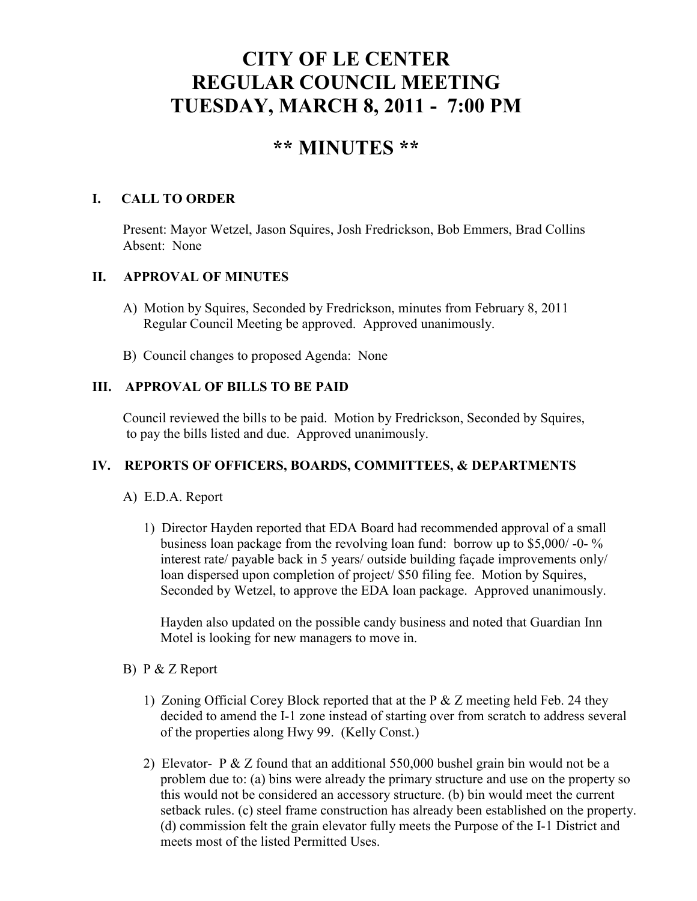# **CITY OF LE CENTER REGULAR COUNCIL MEETING TUESDAY, MARCH 8, 2011 - 7:00 PM**

## **\*\* MINUTES \*\***

## **I. CALL TO ORDER**

Present: Mayor Wetzel, Jason Squires, Josh Fredrickson, Bob Emmers, Brad Collins Absent: None

## **II. APPROVAL OF MINUTES**

- A) Motion by Squires, Seconded by Fredrickson, minutes from February 8, 2011 Regular Council Meeting be approved. Approved unanimously.
- B) Council changes to proposed Agenda: None

## **III. APPROVAL OF BILLS TO BE PAID**

Council reviewed the bills to be paid. Motion by Fredrickson, Seconded by Squires, to pay the bills listed and due. Approved unanimously.

### **IV. REPORTS OF OFFICERS, BOARDS, COMMITTEES, & DEPARTMENTS**

- A) E.D.A. Report
	- 1) Director Hayden reported that EDA Board had recommended approval of a small business loan package from the revolving loan fund: borrow up to \$5,000/ -0- % interest rate/ payable back in 5 years/ outside building façade improvements only/ loan dispersed upon completion of project/ \$50 filing fee. Motion by Squires, Seconded by Wetzel, to approve the EDA loan package. Approved unanimously.

 Hayden also updated on the possible candy business and noted that Guardian Inn Motel is looking for new managers to move in.

- B) P & Z Report
	- 1) Zoning Official Corey Block reported that at the P & Z meeting held Feb. 24 they decided to amend the I-1 zone instead of starting over from scratch to address several of the properties along Hwy 99. (Kelly Const.)
	- 2) Elevator- P & Z found that an additional 550,000 bushel grain bin would not be a problem due to: (a) bins were already the primary structure and use on the property so this would not be considered an accessory structure. (b) bin would meet the current setback rules. (c) steel frame construction has already been established on the property. (d) commission felt the grain elevator fully meets the Purpose of the I-1 District and meets most of the listed Permitted Uses.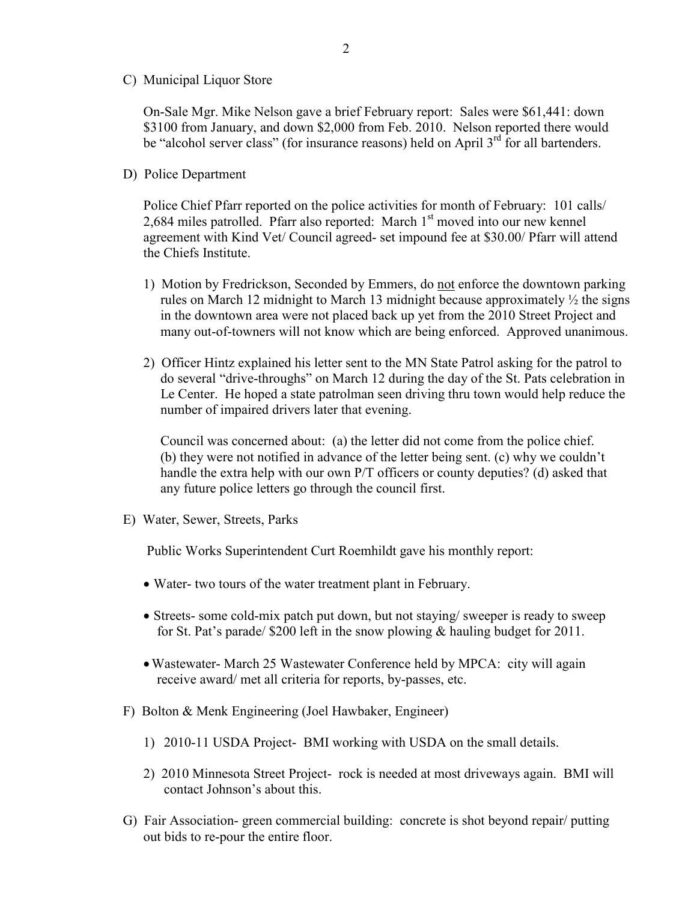C) Municipal Liquor Store

On-Sale Mgr. Mike Nelson gave a brief February report: Sales were \$61,441: down \$3100 from January, and down \$2,000 from Feb. 2010. Nelson reported there would be "alcohol server class" (for insurance reasons) held on April  $3<sup>rd</sup>$  for all bartenders.

D) Police Department

Police Chief Pfarr reported on the police activities for month of February: 101 calls/ 2,684 miles patrolled. Pfarr also reported: March  $1<sup>st</sup>$  moved into our new kennel agreement with Kind Vet/ Council agreed- set impound fee at \$30.00/ Pfarr will attend the Chiefs Institute.

- 1) Motion by Fredrickson, Seconded by Emmers, do not enforce the downtown parking rules on March 12 midnight to March 13 midnight because approximately ½ the signs in the downtown area were not placed back up yet from the 2010 Street Project and many out-of-towners will not know which are being enforced. Approved unanimous.
- 2) Officer Hintz explained his letter sent to the MN State Patrol asking for the patrol to do several "drive-throughs" on March 12 during the day of the St. Pats celebration in Le Center. He hoped a state patrolman seen driving thru town would help reduce the number of impaired drivers later that evening.

 Council was concerned about: (a) the letter did not come from the police chief. (b) they were not notified in advance of the letter being sent. (c) why we couldn't handle the extra help with our own P/T officers or county deputies? (d) asked that any future police letters go through the council first.

E) Water, Sewer, Streets, Parks

Public Works Superintendent Curt Roemhildt gave his monthly report:

- Water- two tours of the water treatment plant in February.
- Streets- some cold-mix patch put down, but not staying/ sweeper is ready to sweep for St. Pat's parade/ \$200 left in the snow plowing & hauling budget for 2011.
- •Wastewater- March 25 Wastewater Conference held by MPCA: city will again receive award/ met all criteria for reports, by-passes, etc.
- F) Bolton & Menk Engineering (Joel Hawbaker, Engineer)
	- 1) 2010-11 USDA Project- BMI working with USDA on the small details.
	- 2) 2010 Minnesota Street Project- rock is needed at most driveways again. BMI will contact Johnson's about this.
- G) Fair Association- green commercial building: concrete is shot beyond repair/ putting out bids to re-pour the entire floor.